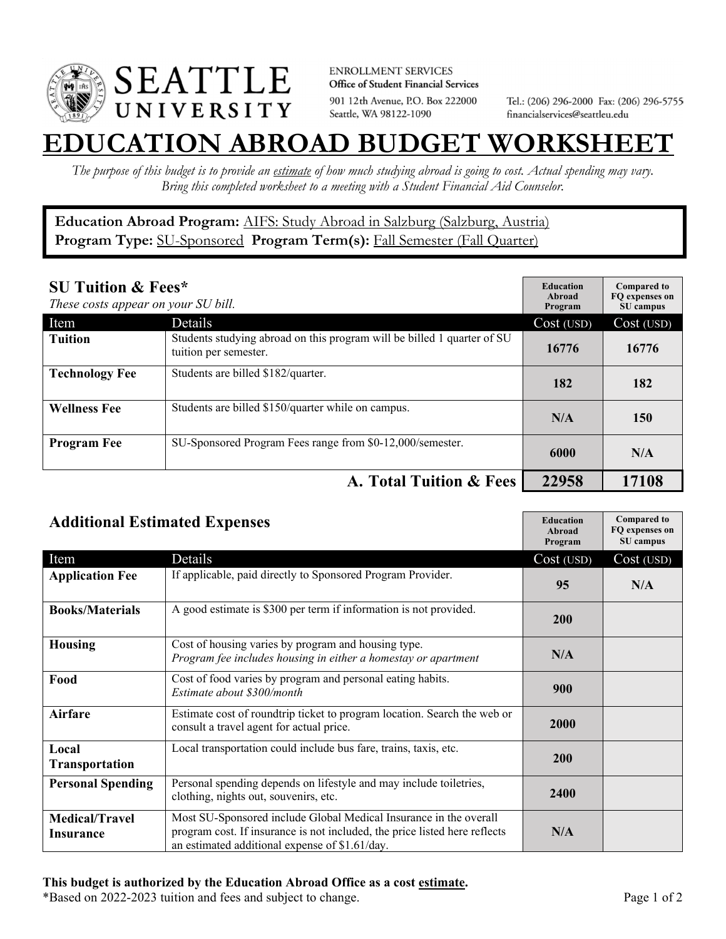

**ENROLLMENT SERVICES** Office of Student Financial Services 901 12th Avenue, P.O. Box 222000 Seattle, WA 98122-1090

Tel.: (206) 296-2000 Fax: (206) 296-5755 financialservices@seattleu.edu

## **EATION ABROAD BUDGET WORKSHEE**

*The purpose of this budget is to provide an estimate of how much studying abroad is going to cost. Actual spending may vary. Bring this completed worksheet to a meeting with a Student Financial Aid Counselor.* 

**Education Abroad Program:** AIFS: Study Abroad in Salzburg (Salzburg, Austria) Program Type: **SU-Sponsored** Program Term(s): **Fall Semester (Fall Quarter)** 

| <b>SU Tuition &amp; Fees*</b><br>These costs appear on your SU bill. |                                                                                                  | <b>Education</b><br>Abroad<br>Program | <b>Compared to</b><br>FO expenses on<br>SU campus |
|----------------------------------------------------------------------|--------------------------------------------------------------------------------------------------|---------------------------------------|---------------------------------------------------|
| Item                                                                 | Details                                                                                          | Cost (USD)                            | Cost (USD)                                        |
| <b>Tuition</b>                                                       | Students studying abroad on this program will be billed 1 quarter of SU<br>tuition per semester. | 16776                                 | 16776                                             |
| <b>Technology Fee</b>                                                | Students are billed \$182/quarter.                                                               | 182                                   | 182                                               |
| <b>Wellness Fee</b>                                                  | Students are billed \$150/quarter while on campus.                                               | N/A                                   | 150                                               |
| <b>Program Fee</b>                                                   | SU-Sponsored Program Fees range from \$0-12,000/semester.                                        | 6000                                  | N/A                                               |
| A. Total Tuition & Fees                                              |                                                                                                  | 22958                                 | 17108                                             |

| <b>Additional Estimated Expenses</b> |                                                                                                                                                                                                   | <b>Education</b><br>Abroad<br>Program | <b>Compared to</b><br>FQ expenses on<br>SU campus |
|--------------------------------------|---------------------------------------------------------------------------------------------------------------------------------------------------------------------------------------------------|---------------------------------------|---------------------------------------------------|
| Item                                 | Details                                                                                                                                                                                           | Cost (USD)                            | Cost (USD)                                        |
| <b>Application Fee</b>               | If applicable, paid directly to Sponsored Program Provider.                                                                                                                                       | 95                                    | N/A                                               |
| <b>Books/Materials</b>               | A good estimate is \$300 per term if information is not provided.                                                                                                                                 | <b>200</b>                            |                                                   |
| <b>Housing</b>                       | Cost of housing varies by program and housing type.<br>Program fee includes housing in either a homestay or apartment                                                                             | N/A                                   |                                                   |
| Food                                 | Cost of food varies by program and personal eating habits.<br>Estimate about \$300/month                                                                                                          | 900                                   |                                                   |
| <b>Airfare</b>                       | Estimate cost of roundtrip ticket to program location. Search the web or<br>consult a travel agent for actual price.                                                                              | 2000                                  |                                                   |
| Local<br><b>Transportation</b>       | Local transportation could include bus fare, trains, taxis, etc.                                                                                                                                  | 200                                   |                                                   |
| <b>Personal Spending</b>             | Personal spending depends on lifestyle and may include toiletries,<br>clothing, nights out, souvenirs, etc.                                                                                       | 2400                                  |                                                   |
| <b>Medical/Travel</b><br>Insurance   | Most SU-Sponsored include Global Medical Insurance in the overall<br>program cost. If insurance is not included, the price listed here reflects<br>an estimated additional expense of \$1.61/day. | N/A                                   |                                                   |

## **This budget is authorized by the Education Abroad Office as a cost estimate.**

\*Based on 2022-2023 tuition and fees and subject to change. Page 1 of 2